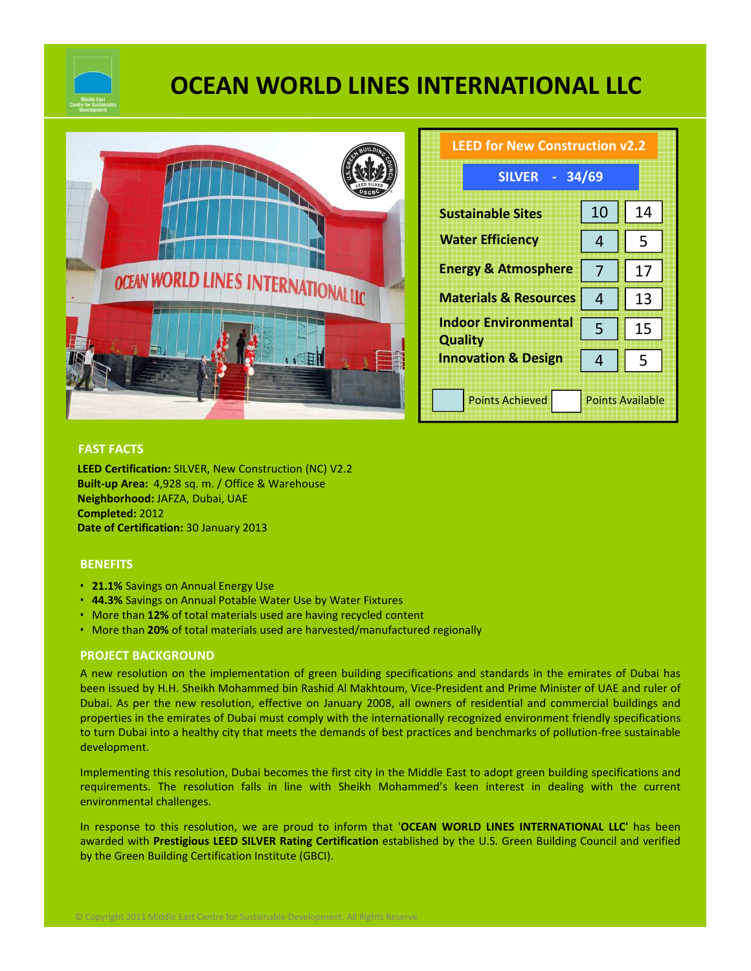

# **OCEAN WORLD LINES INTERNATIONAL LLC**



| <b>LEED for New Construction v2.2</b>  |                         |    |  |
|----------------------------------------|-------------------------|----|--|
| <b>SILVER</b><br>$-34/69$              |                         |    |  |
| <b>Sustainable Sites</b>               | 10                      | 14 |  |
| <b>Water Efficiency</b>                |                         | 5  |  |
| <b>Energy &amp; Atmosphere</b>         |                         | 17 |  |
| <b>Materials &amp; Resources</b>       | 4                       | 13 |  |
| <b>Indoor Environmental</b><br>Quality |                         | 15 |  |
| <b>Innovation &amp; Design</b>         |                         | 5  |  |
| <b>Points Achieved</b>                 | <b>Points Available</b> |    |  |

### **FAST FACTS**

**LEED Certification:** SILVER, New Construction (NC) V2.2 **Built-up Area:** 4,928 sq. m. / Office & Warehouse **Neighborhood:** JAFZA, Dubai, UAE **Completed:** 2012 **Date of Certification:** 30 January 2013

#### **BENEFITS**

- **21.1%** Savings on Annual Energy Use
- **44.3%** Savings on Annual Potable Water Use by Water Fixtures
- More than **12%** of total materials used are having recycled content

© Copyright 2011 Middle East Centre for Sustainable Development. All Rights Reserve

• More than **20%** of total materials used are harvested/manufactured regionally

#### **PROJECT BACKGROUND**

A new resolution on the implementation of green building specifications and standards in the emirates of Dubai has been issued by H.H. Sheikh Mohammed bin Rashid Al Makhtoum, Vice-President and Prime Minister of UAE and ruler of Dubai. As per the new resolution, effective on January 2008, all owners of residential and commercial buildings and properties in the emirates of Dubai must comply with the internationally recognized environment friendly specifications to turn Dubai into a healthy city that meets the demands of best practices and benchmarks of pollution-free sustainable development.

Implementing this resolution, Dubai becomes the first city in the Middle East to adopt green building specifications and requirements. The resolution falls in line with Sheikh Mohammed's keen interest in dealing with the current environmental challenges.

In response to this resolution, we are proud to inform that '**OCEAN WORLD LINES INTERNATIONAL LLC'** has been awarded with **Prestigious LEED SILVER Rating Certification** established by the U.S. Green Building Council and verified by the Green Building Certification Institute (GBCI).